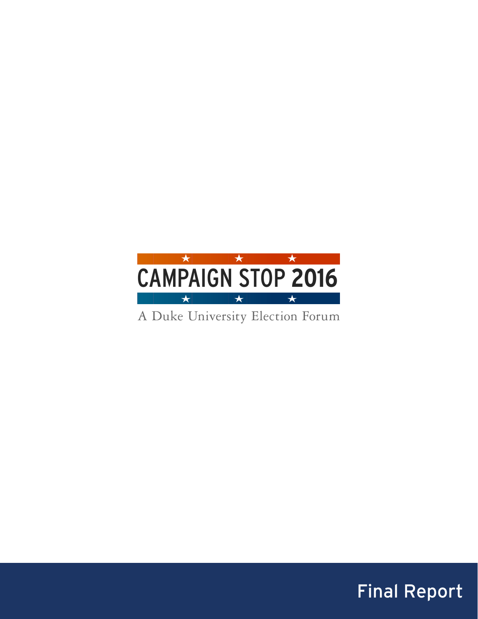

A Duke University Election Forum

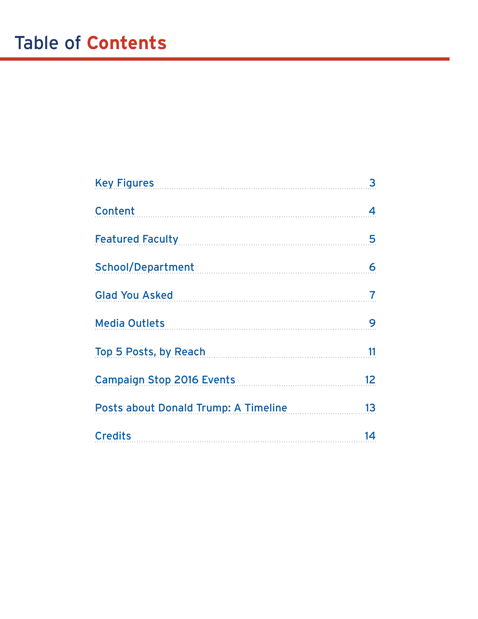| Key Figures <b>Executive Service Service Service Service Service Service Service Service Service Service Service Service Service Service Service Service Service Service Service Service Service Service Service Service Service</b> | 3                        |
|--------------------------------------------------------------------------------------------------------------------------------------------------------------------------------------------------------------------------------------|--------------------------|
| Content                                                                                                                                                                                                                              | 4                        |
| Featured Faculty Management of Teature of Teature of Teature and Teachers                                                                                                                                                            | 5                        |
| School/Department                                                                                                                                                                                                                    | 6                        |
| Glad You Asked Sales and School and School and School and School and School and School and School and School and School and School and School and School and School and School and School and School and School and School and       | $\overline{\mathcal{L}}$ |
| <b>Media Outlets</b>                                                                                                                                                                                                                 | 9                        |
| Top 5 Posts, by Reach                                                                                                                                                                                                                | 11                       |
| Campaign Stop 2016 Events                                                                                                                                                                                                            | 12 <sub>2</sub>          |
| Posts about Donald Trump: A Timeline                                                                                                                                                                                                 | 13                       |
| <b>Credits</b>                                                                                                                                                                                                                       | 14                       |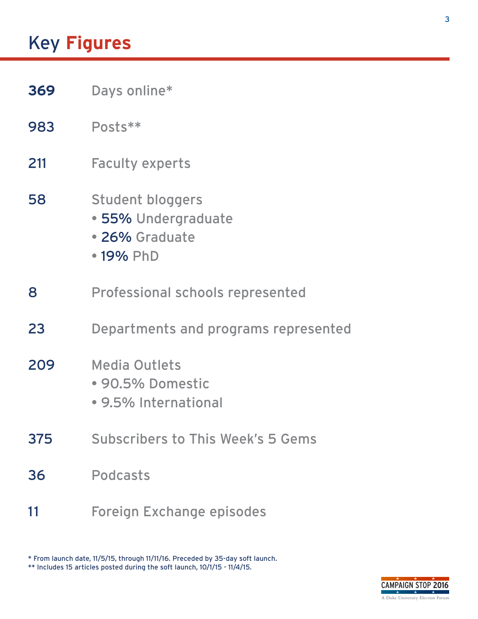# <span id="page-2-0"></span>Key **Figures**

- **369** Days online\*
- 983 Posts\*\*
- 211 Faculty experts
- 58 Student bloggers
	- 55% Undergraduate
	- 26% Graduate
	- 19% PhD
- 8 Professional schools represented
- 23 Departments and programs represented
- 209 Media Outlets
	- 90.5% Domestic
	- 9.5% International
- 375 Subscribers to This Week's 5 Gems
- 36 Podcasts
- 11 Foreign Exchange episodes

\* From launch date, 11/5/15, through 11/11/16. Preceded by 35-day soft launch. \*\* Includes 15 articles posted during the soft launch, 10/1/15 - 11/4/15.

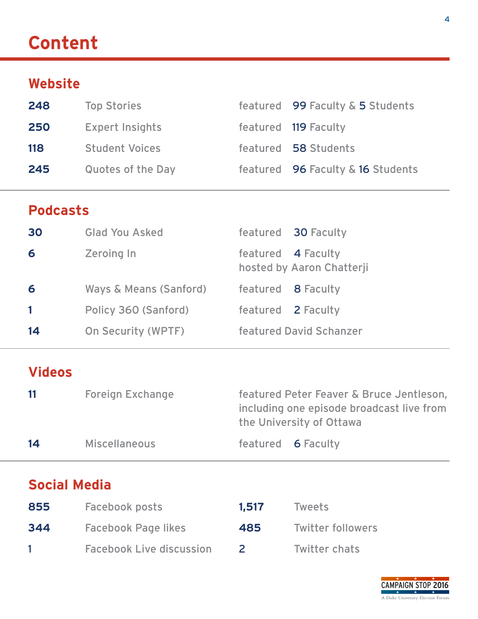# <span id="page-3-0"></span>**Content**

## **Website**

| 248 | <b>Top Stories</b>       | featured 99 Faculty & 5 Students  |
|-----|--------------------------|-----------------------------------|
| 250 | <b>Expert Insights</b>   | featured 119 Faculty              |
| 118 | <b>Student Voices</b>    | featured 58 Students              |
| 245 | <b>Quotes of the Day</b> | featured 96 Faculty & 16 Students |

## **Podcasts**

| 30 | <b>Glad You Asked</b>  |                    | featured 30 Faculty       |
|----|------------------------|--------------------|---------------------------|
| 6  | <b>Zeroing In</b>      | featured 4 Faculty | hosted by Aaron Chatterji |
| 6  | Ways & Means (Sanford) | featured 8 Faculty |                           |
|    | Policy 360 (Sanford)   | featured 2 Faculty |                           |
| 14 | On Security (WPTF)     |                    | featured David Schanzer   |

## **Videos**

| 11 | <b>Foreign Exchange</b> | featured Peter Feaver & Bruce Jentleson,  |
|----|-------------------------|-------------------------------------------|
|    |                         | including one episode broadcast live from |
|    |                         | the University of Ottawa                  |
| 14 | <b>Miscellaneous</b>    | featured 6 Faculty                        |

## **Social Media**

| 855 | Facebook posts                  | 1.517 | Tweets                   |
|-----|---------------------------------|-------|--------------------------|
| 344 | <b>Facebook Page likes</b>      | 485   | <b>Twitter followers</b> |
|     | <b>Facebook Live discussion</b> |       | Twitter chats            |

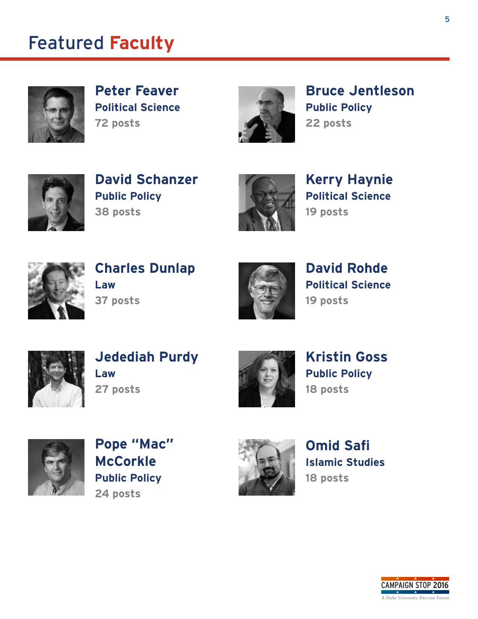## <span id="page-4-0"></span>Featured **Faculty**



**Peter Feaver Political Science 72 posts**



**Bruce Jentleson Public Policy 22 posts**



**David Schanzer Public Policy 38 posts**



**Kerry Haynie Political Science 19 posts**



**Charles Dunlap Law 37 posts**



**David Rohde Political Science 19 posts**



**Jedediah Purdy Law 27 posts**



**Kristin Goss Public Policy 18 posts**



**Pope "Mac" McCorkle Public Policy 24 posts**



**Omid Safi Islamic Studies 18 posts**

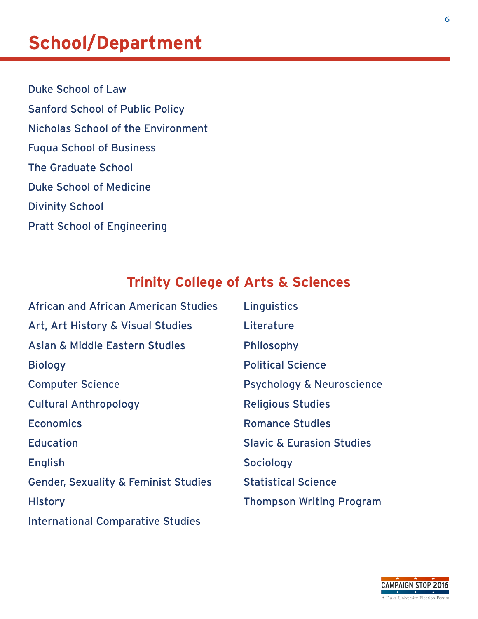# <span id="page-5-0"></span>**School/Department**

Duke School of Law Sanford School of Public Policy Nicholas School of the Environment Fuqua School of Business The Graduate School Duke School of Medicine Divinity School Pratt School of Engineering

## **Trinity College of Arts & Sciences**

| <b>African and African American Studies</b>     | Linguistics                          |
|-------------------------------------------------|--------------------------------------|
| Art, Art History & Visual Studies               | Literature                           |
| <b>Asian &amp; Middle Eastern Studies</b>       | <b>Philosophy</b>                    |
| <b>Biology</b>                                  | <b>Political Science</b>             |
| <b>Computer Science</b>                         | <b>Psychology &amp; Neuroscience</b> |
| <b>Cultural Anthropology</b>                    | <b>Religious Studies</b>             |
| <b>Economics</b>                                | <b>Romance Studies</b>               |
| <b>Education</b>                                | <b>Slavic &amp; Eurasion Studies</b> |
| <b>English</b>                                  | <b>Sociology</b>                     |
| <b>Gender, Sexuality &amp; Feminist Studies</b> | <b>Statistical Science</b>           |
| <b>History</b>                                  | <b>Thompson Writing Program</b>      |
| <b>International Comparative Studies</b>        |                                      |

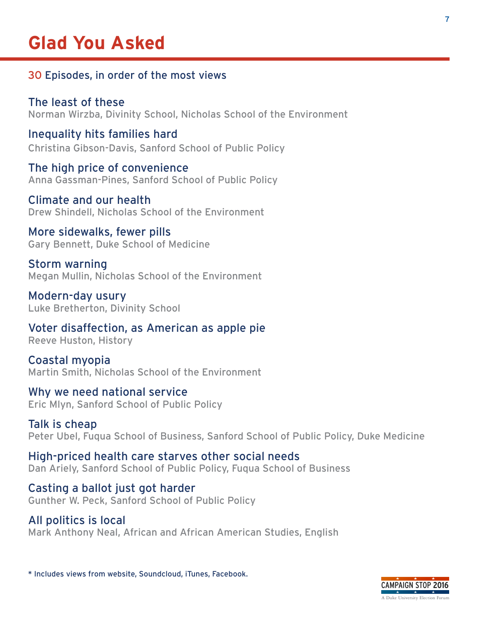## <span id="page-6-0"></span>**Glad You Asked**

#### 30 Episodes, in order of the most views

The least of these Norman Wirzba, Divinity School, Nicholas School of the Environment

Inequality hits families hard Christina Gibson-Davis, Sanford School of Public Policy

The high price of convenience Anna Gassman-Pines, Sanford School of Public Policy

Climate and our health Drew Shindell, Nicholas School of the Environment

#### More sidewalks, fewer pills Gary Bennett, Duke School of Medicine

Storm warning Megan Mullin, Nicholas School of the Environment

Modern-day usury Luke Bretherton, Divinity School

Voter disaffection, as American as apple pie Reeve Huston, History

Coastal myopia Martin Smith, Nicholas School of the Environment

Why we need national service Eric Mlyn, Sanford School of Public Policy

Talk is cheap Peter Ubel, Fuqua School of Business, Sanford School of Public Policy, Duke Medicine

High-priced health care starves other social needs Dan Ariely, Sanford School of Public Policy, Fuqua School of Business

Casting a ballot just got harder Gunther W. Peck, Sanford School of Public Policy

### All politics is local

Mark Anthony Neal, African and African American Studies, English

\* Includes views from website, Soundcloud, iTunes, Facebook.

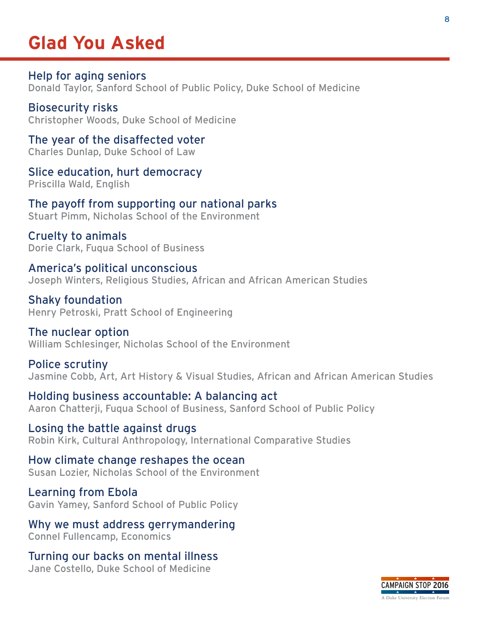## **Glad You Asked**

Help for aging seniors Donald Taylor, Sanford School of Public Policy, Duke School of Medicine

Biosecurity risks Christopher Woods, Duke School of Medicine

The year of the disaffected voter Charles Dunlap, Duke School of Law

Slice education, hurt democracy Priscilla Wald, English

The payoff from supporting our national parks Stuart Pimm, Nicholas School of the Environment

Cruelty to animals Dorie Clark, Fuqua School of Business

America's political unconscious Joseph Winters, Religious Studies, African and African American Studies

Shaky foundation Henry Petroski, Pratt School of Engineering

The nuclear option William Schlesinger, Nicholas School of the Environment

Police scrutiny Jasmine Cobb, Art, Art History & Visual Studies, African and African American Studies

Holding business accountable: A balancing act Aaron Chatterji, Fuqua School of Business, Sanford School of Public Policy

Losing the battle against drugs Robin Kirk, Cultural Anthropology, International Comparative Studies

How climate change reshapes the ocean Susan Lozier, Nicholas School of the Environment

Learning from Ebola Gavin Yamey, Sanford School of Public Policy

Why we must address gerrymandering Connel Fullencamp, Economics

Turning our backs on mental illness Jane Costello, Duke School of Medicine

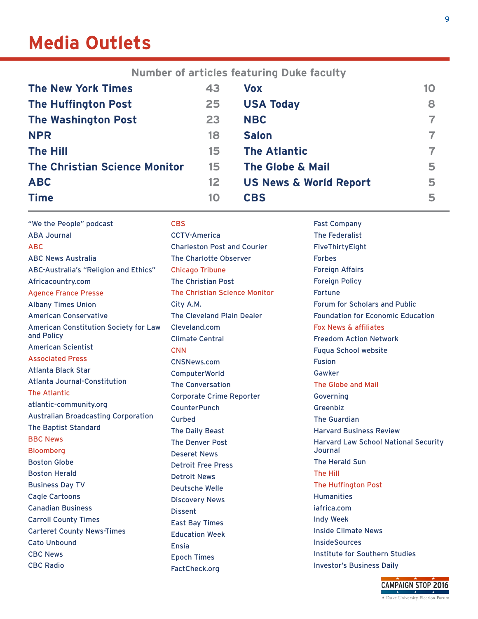## <span id="page-8-0"></span>**Media Outlets**

**Number of articles featuring Duke faculty**

| <b>The New York Times</b>            | 43              | <b>Vox</b>                        | 10 |
|--------------------------------------|-----------------|-----------------------------------|----|
| <b>The Huffington Post</b>           | 25              | <b>USA Today</b>                  | 8  |
| <b>The Washington Post</b>           | 23              | <b>NBC</b>                        |    |
| <b>NPR</b>                           | 18              | <b>Salon</b>                      |    |
| <b>The Hill</b>                      | 15              | <b>The Atlantic</b>               |    |
| <b>The Christian Science Monitor</b> | 15              | <b>The Globe &amp; Mail</b>       | 5  |
| <b>ABC</b>                           | 12 <sub>2</sub> | <b>US News &amp; World Report</b> | 5  |
| <b>Time</b>                          | 10              | <b>CBS</b>                        | 5  |

"We the People" podcast ABA Journal ABC ABC News Australia ABC-Australia's "Religion and Ethics" Africacountry.com Agence France Presse Albany Times Union American Conservative American Constitution Society for Law and Policy American Scientist Associated Press Atlanta Black Star Atlanta Journal-Constitution The Atlantic atlantic-community.org Australian Broadcasting Corporation The Baptist Standard BBC News Bloomberg Boston Globe Boston Herald Business Day TV Cagle Cartoons Canadian Business Carroll County Times Carteret County News-Times Cato Unbound CBC News CBC Radio **CBS** CCTV-America Charleston Post and Courier The Charlotte Observer Chicago Tribune The Christian Post The Christian Science Monitor City A.M. The Cleveland Plain Dealer Cleveland.com Climate Central **CNN** CNSNews.com ComputerWorld The Conversation Corporate Crime Reporter **CounterPunch** Curbed The Daily Beast The Denver Post Deseret News Detroit Free Press Detroit News Deutsche Welle Discovery News Dissent East Bay Times Education Week Ensia Epoch Times FactCheck.org Fast Company The Federalist FiveThirtyEight Forbes Foreign Affairs Foreign Policy Fortune Forum for Scholars and Public Foundation for Economic Education Fox News & affiliates Freedom Action Network Fuqua School website Fusion Gawker The Globe and Mail Governing Greenbiz The Guardian Harvard Business Review Harvard Law School National Security **Journal** The Herald Sun The Hill The Huffington Post Humanities iafrica.com Indy Week Inside Climate News **InsideSources** Institute for Southern Studies Investor's Business Daily

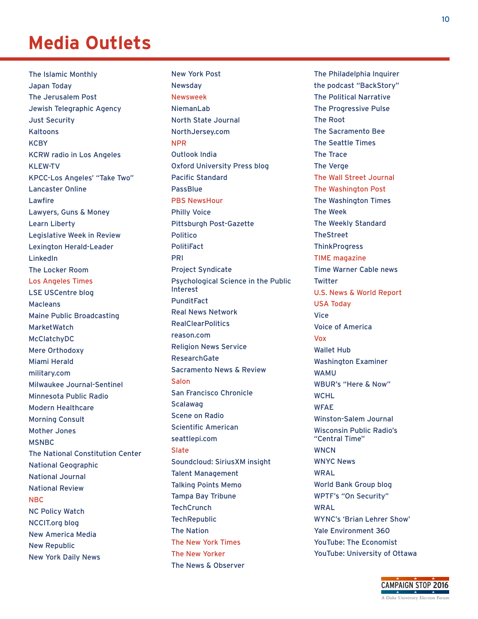## **Media Outlets**

The Islamic Monthly Japan Today The Jerusalem Post Jewish Telegraphic Agency Just Security Kaltoons **KCBY** KCRW radio in Los Angeles KLEW-TV KPCC-Los Angeles' "Take Two" Lancaster Online Lawfire Lawyers, Guns & Money Learn Liberty Legislative Week in Review Lexington Herald-Leader LinkedIn The Locker Room Los Angeles Times LSE USCentre blog Macleans Maine Public Broadcasting MarketWatch McClatchyDC Mere Orthodoxy Miami Herald military.com Milwaukee Journal-Sentinel Minnesota Public Radio Modern Healthcare Morning Consult Mother Jones **MSNBC** The National Constitution Center National Geographic National Journal National Review NBC NC Policy Watch NCCIT.org blog New America Media New Republic New York Daily News

Newsday Newsweek NiemanLab North State Journal NorthJersey.com NPR Outlook India Oxford University Press blog Pacific Standard PassBlue PBS NewsHour Philly Voice Pittsburgh Post-Gazette Politico PolitiFact PRI Project Syndicate Psychological Science in the Public Interest PunditFact Real News Network RealClearPolitics reason.com Religion News Service ResearchGate Sacramento News & Review Salon San Francisco Chronicle Scalawag Scene on Radio Scientific American seattlepi.com Slate Soundcloud: SiriusXM insight Talent Management Talking Points Memo Tampa Bay Tribune **TechCrunch TechRepublic** The Nation The New York Times The New Yorker The News & Observer

New York Post

The Philadelphia Inquirer the podcast "BackStory" The Political Narrative The Progressive Pulse The Root The Sacramento Bee The Seattle Times The Trace The Verge The Wall Street Journal The Washington Post The Washington Times The Week The Weekly Standard **TheStreet ThinkProgress** TIME magazine Time Warner Cable news Twitter U.S. News & World Report USA Today Vice Voice of America Vox Wallet Hub Washington Examiner WAMU WBUR's "Here & Now" **WCHL** WFAE Winston-Salem Journal Wisconsin Public Radio's "Central Time" **WNCN** WNYC News WRAL World Bank Group blog WPTF's "On Security" WRAL WYNC's 'Brian Lehrer Show' Yale Environment 360 YouTube: The Economist YouTube: University of Ottawa

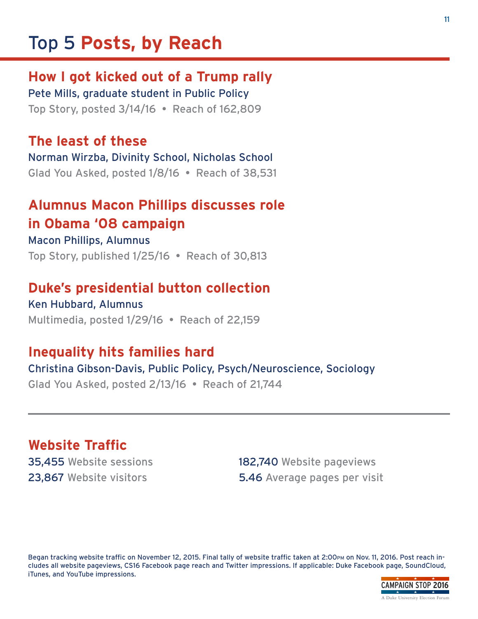## <span id="page-10-0"></span>Top 5 **Posts, by Reach**

### **How I got kicked out of a Trump rally**

Pete Mills, graduate student in Public Policy Top Story, posted 3/14/16 • Reach of 162,809

#### **The least of these**

Norman Wirzba, Divinity School, Nicholas School Glad You Asked, posted 1/8/16 • Reach of 38,531

### **Alumnus Macon Phillips discusses role in Obama '08 campaign**

#### Macon Phillips, Alumnus

Top Story, published 1/25/16 • Reach of 30,813

### **Duke's presidential button collection**

Ken Hubbard, Alumnus Multimedia, posted 1/29/16 • Reach of 22,159

### **Inequality hits families hard**

### Christina Gibson-Davis, Public Policy, Psych/Neuroscience, Sociology

Glad You Asked, posted 2/13/16 • Reach of 21,744

### **Website Traffic**

35,455 Website sessions 182,740 Website pageviews 23,867 Website visitors 5.46 Average pages per visit

Began tracking website traffic on November 12, 2015. Final tally of website traffic taken at 2:00pm on Nov. 11, 2016. Post reach includes all website pageviews, CS16 Facebook page reach and Twitter impressions. If applicable: Duke Facebook page, SoundCloud, iTunes, and YouTube impressions.

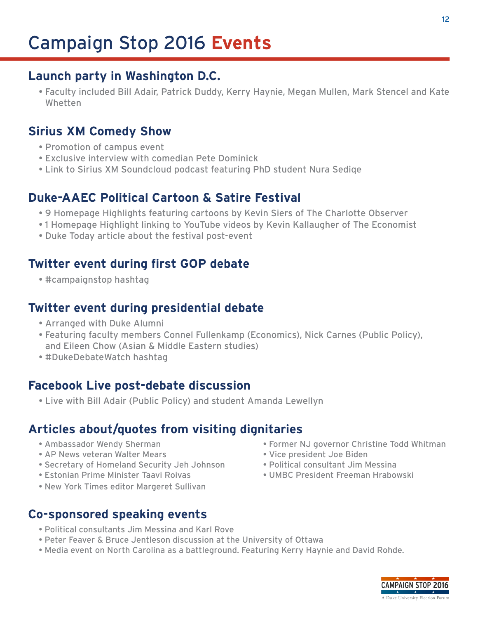### <span id="page-11-0"></span>**Launch party in Washington D.C.**

• Faculty included Bill Adair, Patrick Duddy, Kerry Haynie, Megan Mullen, Mark Stencel and Kate Whetten

### **Sirius XM Comedy Show**

- Promotion of campus event
- Exclusive interview with comedian Pete Dominick
- Link to Sirius XM Soundcloud podcast featuring PhD student Nura Sediqe

### **Duke-AAEC Political Cartoon & Satire Festival**

- 9 Homepage Highlights featuring cartoons by Kevin Siers of The Charlotte Observer
- 1 Homepage Highlight linking to YouTube videos by Kevin Kallaugher of The Economist
- Duke Today article about the festival post-event

### **Twitter event during first GOP debate**

• #campaignstop hashtag

### **Twitter event during presidential debate**

- Arranged with Duke Alumni
- Featuring faculty members Connel Fullenkamp (Economics), Nick Carnes (Public Policy), and Eileen Chow (Asian & Middle Eastern studies)
- #DukeDebateWatch hashtag

### **Facebook Live post-debate discussion**

• Live with Bill Adair (Public Policy) and student Amanda Lewellyn

### **Articles about/quotes from visiting dignitaries**

- 
- AP News veteran Walter Mears  **•** Vice president Joe Biden
- Secretary of Homeland Security Jeh Johnson Political consultant Jim Messina
- 
- New York Times editor Margeret Sullivan

## **Co-sponsored speaking events**

- Political consultants Jim Messina and Karl Rove
- Peter Feaver & Bruce Jentleson discussion at the University of Ottawa
- Media event on North Carolina as a battleground. Featuring Kerry Haynie and David Rohde.
- Ambassador Wendy Sherman  **Former NJ governor Christine Todd Whitman** 
	-
	-
- Estonian Prime Minister Taavi Roivas UMBC President Freeman Hrabowski

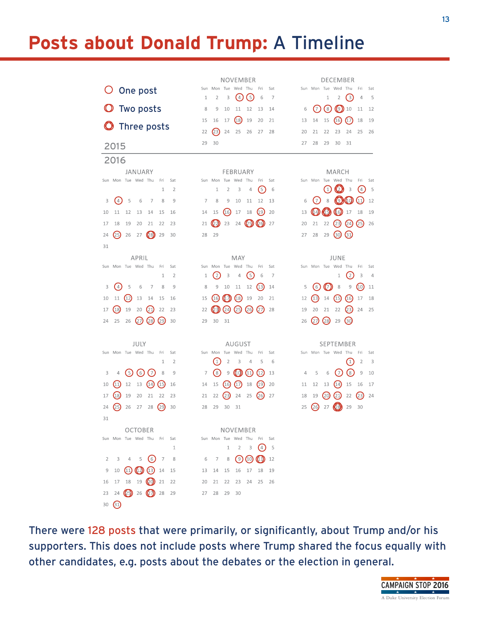## <span id="page-12-0"></span>**Posts about Donald Trump:** A Timeline

|                                                       | NOVEMBER                                                                         | DECEMBER                                                                                             |
|-------------------------------------------------------|----------------------------------------------------------------------------------|------------------------------------------------------------------------------------------------------|
| O One post                                            | Wed Thu<br>Fri<br>Sun Mon Tue<br>Sat                                             | Sun Mon Tue Wed Thu<br>Sat<br>Fri                                                                    |
|                                                       | 6<br>$\overline{2}$<br>3<br>$\overline{4}$<br>6<br>7<br>1                        | $\left(3\right)$<br>2<br>5<br>1<br>4                                                                 |
| <b>O</b> Two posts                                    | 8<br>9<br>10<br>11<br>12<br>13<br>14<br>(18)<br>16<br>17<br>19<br>20<br>15<br>21 | (7)<br>$^{\left( 8\right) }$<br>(9)10<br>11<br>12<br>6<br>15<br>(16)<br>(17)<br>18<br>19<br>13<br>14 |
| <b>O</b> Three posts                                  | $^{(23)}$<br>22<br>24<br>25<br>26<br>27<br>28                                    | 21<br>22<br>23<br>25<br>20<br>24<br>26                                                               |
|                                                       | 30<br>29                                                                         | 27<br>28<br>29<br>30<br>31                                                                           |
| 2015                                                  |                                                                                  |                                                                                                      |
| 2016                                                  |                                                                                  |                                                                                                      |
| JANUARY<br>Sun Mon Tue Wed Thu<br>Fri<br>Sat          | FEBRUARY<br>Sun Mon Tue Wed Thu<br>Fri<br>Sat                                    | MARCH<br>Sun Mon Tue Wed Thu<br>Fri<br>Sat                                                           |
| 1<br>2                                                | $\left(5\right)$<br>$\mathbf{1}$<br>$\overline{2}$<br>3<br>4<br>6                | $\omega$<br>(1)<br>3<br>(4)<br>5                                                                     |
| (4)<br>5<br>6<br>7<br>8<br>9<br>3                     | 7<br>8<br>9<br>10<br>12<br>11<br>13                                              | $\mathcal{O}(\mathcal{O})$<br>$\scriptstyle\rm (7)$<br>8<br>(11)<br>12<br>6                          |
| 11<br>12<br>10<br>13<br>14<br>15<br>16                | (16)<br>(19)<br>15<br>17<br>18<br>20<br>14                                       | (44)<br>(b)<br>$(6)$ 17<br>18<br>13<br>19                                                            |
| 18<br>19<br>20<br>21<br>22<br>23<br>17                | $\circledcirc$<br>(25)<br>(26)<br>23<br>24<br>21<br>27                           | 21<br>22<br>(23)<br>(24)<br>(25)<br>20<br>26                                                         |
| (25)<br>(28)<br>26<br>27<br>29<br>24<br>30            | 29<br>28                                                                         | $\left(30\right)$<br>$\left(31\right)$<br>29<br>28<br>27                                             |
| 31                                                    |                                                                                  |                                                                                                      |
| APRIL                                                 | MAY                                                                              | JUNE                                                                                                 |
| Sun Mon Tue Wed Thu<br>Fri<br>Sat                     | Sun<br>Mon Tue Wed<br>Thu<br>Fri<br>Sat                                          | Sun Mon Tue Wed Thu<br>Fri<br>Sat                                                                    |
| 1<br>$\overline{2}$                                   | $\left( 2\right)$<br>3<br>$\left(5\right)$<br>4<br>6<br>7<br>1                   | $\left( 2\right)$<br>3<br>1<br>4                                                                     |
| (4)<br>5<br>6<br>3<br>7<br>8<br>9                     | 10<br>12<br>(13)<br>8<br>9<br>11<br>14                                           | (6)<br>$(\hspace{-1.5pt}\sqrt{3})$<br>8<br>9<br>(10)<br>5<br>11                                      |
| $\left(12\right)$<br>11<br>10<br>13<br>14<br>15<br>16 | (17)<br>(18)<br>(16)<br>19<br>20<br>15<br>21                                     | $\left( \mathbf{15}\right)$<br>$\left( 6 \right)$<br>(13)<br>14<br>12<br>17<br>18                    |
| 19<br>(18)<br>(21)<br>20<br>22<br>17<br>23            | (24)<br>(25)<br>(26)<br>(27)<br>22<br>23)<br>28                                  | 20<br>21<br>22<br>(23)<br>19<br>24<br>25                                                             |
| (27)<br>(29)<br>(28)<br>25<br>26<br>30<br>24          | 29<br>30<br>31                                                                   | $\odot$<br>(27)<br>(28)<br>29<br>26                                                                  |
|                                                       |                                                                                  |                                                                                                      |
| JULY<br>Sun Mon Tue Wed Thu<br>Sat<br>Fri             | AUGUST<br>Mon Tue<br>Wed<br>Thu<br>Fri<br>Sun<br>Sat                             | SEPTEMBER<br>Sun Mon Tue Wed Thu<br>Fri<br>Sat                                                       |
| 1<br>$\overline{2}$                                   | $\left(1\right)$<br>5<br>$\overline{2}$<br>3<br>4<br>6                           | $\overline{2}$<br>$\left( 1\right)$<br>3                                                             |
| (6)<br>(7)<br>$\left(5\right)$<br>8<br>3<br>4<br>9    | $\circled{s}$<br>$\mathcal G$<br>$\left( 0 \right)$<br>(11)<br>(12)<br>7<br>13   | $\left( \text{8}\right)$<br>$\left(7\right)$<br>5<br>6<br>9<br>10<br>4                               |
| 12<br>(11)<br>13<br>(14)<br>(15)<br>10<br>16          | 15<br>(16)<br>(17)<br>18<br>(19)<br>14<br>20                                     | 15<br>12<br>13<br>(14)<br>16<br>17<br>11                                                             |
| 18<br>19<br>20<br>21<br>22<br>23<br>17                | (23)<br>(26)<br>24<br>25<br>22<br>27<br>21                                       | (20)<br>(21)<br>(23)<br>19<br>22<br>24<br>18                                                         |
| (29)<br>26<br>27<br>28<br>30<br>24<br>25              | 29<br>30<br>28<br>31                                                             | 30<br>26<br>29<br>25<br>27                                                                           |
| 31                                                    |                                                                                  |                                                                                                      |
| <b>OCTOBER</b>                                        | NOVEMBER                                                                         |                                                                                                      |
| Sun Mon Tue Wed Thu Fri Sat                           | Sun Mon Tue Wed Thu Fri Sat                                                      |                                                                                                      |
| $\mathbf{1}$                                          | $\mathbf{1}$<br>$\overline{2}$<br>3<br>(4)<br>5                                  |                                                                                                      |
| 3<br>4 5 (6)<br>$\overline{7}$<br>$\overline{2}$<br>8 | (9)<br>(10)<br>(1)<br>6<br>$\overline{7}$<br>8<br>12                             |                                                                                                      |
| $(12)$ (13)<br>9<br>10<br>(11)<br>14<br>15            | 15<br>16<br>17<br>18<br>13<br>14<br>19                                           |                                                                                                      |
| $17 \quad 18 \quad 19$ $(20) \quad 21$<br>22<br>16    | 20<br>21<br>22<br>23<br>24<br>25<br>26                                           |                                                                                                      |
| (65)<br>26<br>23<br>24<br>28<br>29                    | 30<br>27<br>28<br>29                                                             |                                                                                                      |
| $\left(31\right)$<br>30                               |                                                                                  |                                                                                                      |

There were 128 posts that were primarily, or significantly, about Trump and/or his supporters. This does not include posts where Trump shared the focus equally with other candidates, e.g. posts about the debates or the election in general.